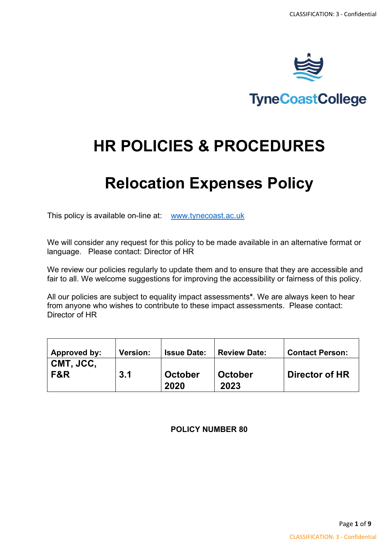

# **TyneCoastCollege**

# **HR POLICIES & PROCEDURES**

# **Relocation Expenses Policy**

This policy is available on-line at: [www.tynecoast.ac.uk](http://www.tynecoast.ac.uk/)

We will consider any request for this policy to be made available in an alternative format or language. Please contact: Director of HR

We review our policies regularly to update them and to ensure that they are accessible and fair to all. We welcome suggestions for improving the accessibility or fairness of this policy.

All our policies are subject to equality impact assessments**\***. We are always keen to hear from anyone who wishes to contribute to these impact assessments. Please contact: Director of HR

| Approved by:       | <b>Version:</b> | <b>Issue Date:</b> | <b>Review Date:</b>    | <b>Contact Person:</b> |
|--------------------|-----------------|--------------------|------------------------|------------------------|
| I CMT, JCC.<br>F&R | 3.1             | October<br>2020    | <b>October</b><br>2023 | <b>Director of HR</b>  |

**POLICY NUMBER 80**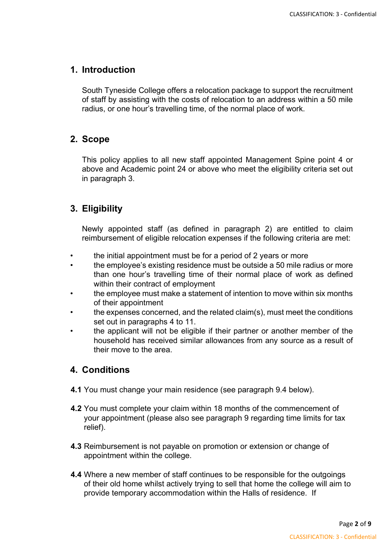### **1. Introduction**

South Tyneside College offers a relocation package to support the recruitment of staff by assisting with the costs of relocation to an address within a 50 mile radius, or one hour's travelling time, of the normal place of work.

#### **2. Scope**

This policy applies to all new staff appointed Management Spine point 4 or above and Academic point 24 or above who meet the eligibility criteria set out in paragraph 3.

### **3. Eligibility**

Newly appointed staff (as defined in paragraph 2) are entitled to claim reimbursement of eligible relocation expenses if the following criteria are met:

- the initial appointment must be for a period of 2 years or more
- the employee's existing residence must be outside a 50 mile radius or more than one hour's travelling time of their normal place of work as defined within their contract of employment
- the employee must make a statement of intention to move within six months of their appointment
- the expenses concerned, and the related claim(s), must meet the conditions set out in paragraphs 4 to 11.
- the applicant will not be eligible if their partner or another member of the household has received similar allowances from any source as a result of their move to the area.

### **4. Conditions**

- **4.1** You must change your main residence (see paragraph 9.4 below).
- **4.2** You must complete your claim within 18 months of the commencement of your appointment (please also see paragraph 9 regarding time limits for tax relief).
- **4.3** Reimbursement is not payable on promotion or extension or change of appointment within the college.
- **4.4** Where a new member of staff continues to be responsible for the outgoings of their old home whilst actively trying to sell that home the college will aim to provide temporary accommodation within the Halls of residence. If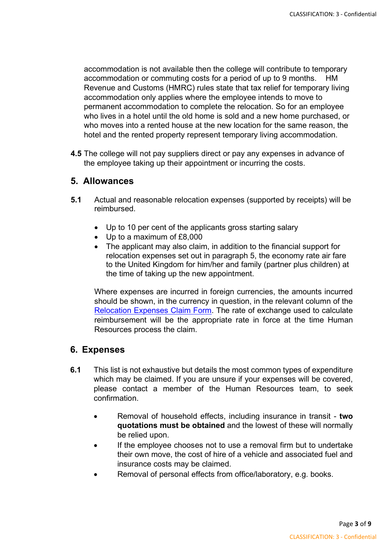accommodation is not available then the college will contribute to temporary accommodation or commuting costs for a period of up to 9 months. HM Revenue and Customs (HMRC) rules state that tax relief for temporary living accommodation only applies where the employee intends to move to permanent accommodation to complete the relocation. So for an employee who lives in a hotel until the old home is sold and a new home purchased, or who moves into a rented house at the new location for the same reason, the hotel and the rented property represent temporary living accommodation.

**4.5** The college will not pay suppliers direct or pay any expenses in advance of the employee taking up their appointment or incurring the costs.

#### **5. Allowances**

- **5.1** Actual and reasonable relocation expenses (supported by receipts) will be reimbursed.
	- Up to 10 per cent of the applicants gross starting salary
	- Up to a maximum of £8,000
	- The applicant may also claim, in addition to the financial support for relocation expenses set out in paragraph 5, the economy rate air fare to the United Kingdom for him/her and family (partner plus children) at the time of taking up the new appointment.

Where expenses are incurred in foreign currencies, the amounts incurred should be shown, in the currency in question, in the relevant column of the [Relocation Expenses Claim Form.](http://www.kent.ac.uk/hr-staffinformation/policies/relocation.html) The rate of exchange used to calculate reimbursement will be the appropriate rate in force at the time Human Resources process the claim.

#### **6. Expenses**

- **6.1** This list is not exhaustive but details the most common types of expenditure which may be claimed. If you are unsure if your expenses will be covered, please contact a member of the Human Resources team, to seek confirmation.
	- Removal of household effects, including insurance in transit **two quotations must be obtained** and the lowest of these will normally be relied upon.
	- If the employee chooses not to use a removal firm but to undertake their own move, the cost of hire of a vehicle and associated fuel and insurance costs may be claimed.
	- Removal of personal effects from office/laboratory, e.g. books.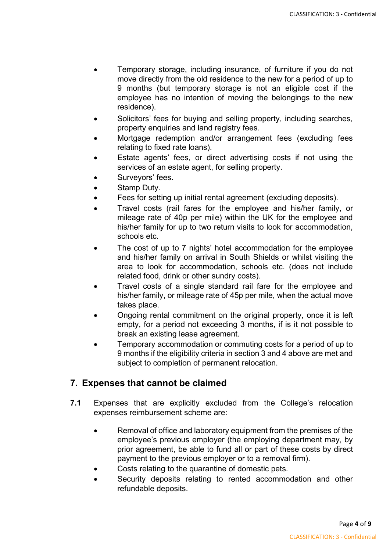- Temporary storage, including insurance, of furniture if you do not move directly from the old residence to the new for a period of up to 9 months (but temporary storage is not an eligible cost if the employee has no intention of moving the belongings to the new residence).
- Solicitors' fees for buying and selling property, including searches, property enquiries and land registry fees.
- Mortgage redemption and/or arrangement fees (excluding fees relating to fixed rate loans).
- Estate agents' fees, or direct advertising costs if not using the services of an estate agent, for selling property.
- Surveyors' fees.
- Stamp Duty.
- Fees for setting up initial rental agreement (excluding deposits).
- Travel costs (rail fares for the employee and his/her family, or mileage rate of 40p per mile) within the UK for the employee and his/her family for up to two return visits to look for accommodation, schools etc.
- The cost of up to 7 nights' hotel accommodation for the employee and his/her family on arrival in South Shields or whilst visiting the area to look for accommodation, schools etc. (does not include related food, drink or other sundry costs).
- Travel costs of a single standard rail fare for the employee and his/her family, or mileage rate of 45p per mile, when the actual move takes place.
- Ongoing rental commitment on the original property, once it is left empty, for a period not exceeding 3 months, if is it not possible to break an existing lease agreement.
- Temporary accommodation or commuting costs for a period of up to 9 months if the eligibility criteria in section 3 and 4 above are met and subject to completion of permanent relocation.

## **7. Expenses that cannot be claimed**

- **7.1** Expenses that are explicitly excluded from the College's relocation expenses reimbursement scheme are:
	- Removal of office and laboratory equipment from the premises of the employee's previous employer (the employing department may, by prior agreement, be able to fund all or part of these costs by direct payment to the previous employer or to a removal firm).
	- Costs relating to the quarantine of domestic pets.
	- Security deposits relating to rented accommodation and other refundable deposits.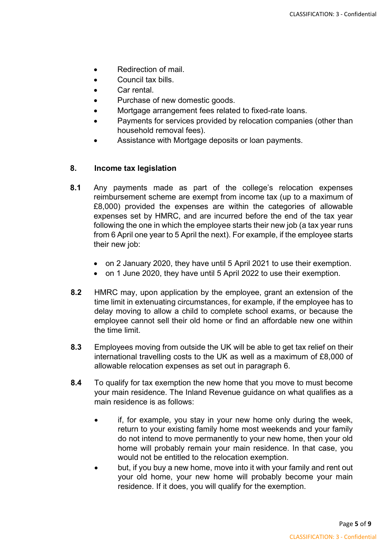- Redirection of mail.
- Council tax bills.
- Car rental.
- Purchase of new domestic goods.
- Mortgage arrangement fees related to fixed-rate loans.
- Payments for services provided by relocation companies (other than household removal fees).
- Assistance with Mortgage deposits or loan payments.

#### **8. Income tax legislation**

- **8.1** Any payments made as part of the college's relocation expenses reimbursement scheme are exempt from income tax (up to a maximum of £8,000) provided the expenses are within the categories of allowable expenses set by HMRC, and are incurred before the end of the tax year following the one in which the employee starts their new job (a tax year runs from 6 April one year to 5 April the next). For example, if the employee starts their new job:
	- on 2 January 2020, they have until 5 April 2021 to use their exemption.
	- on 1 June 2020, they have until 5 April 2022 to use their exemption.
- **8.2** HMRC may, upon application by the employee, grant an extension of the time limit in extenuating circumstances, for example, if the employee has to delay moving to allow a child to complete school exams, or because the employee cannot sell their old home or find an affordable new one within the time limit.
- **8.3** Employees moving from outside the UK will be able to get tax relief on their international travelling costs to the UK as well as a maximum of £8,000 of allowable relocation expenses as set out in paragraph 6.
- **8.4** To qualify for tax exemption the new home that you move to must become your main residence. The Inland Revenue guidance on what qualifies as a main residence is as follows:
	- if, for example, you stay in your new home only during the week, return to your existing family home most weekends and your family do not intend to move permanently to your new home, then your old home will probably remain your main residence. In that case, you would not be entitled to the relocation exemption.
	- but, if you buy a new home, move into it with your family and rent out your old home, your new home will probably become your main residence. If it does, you will qualify for the exemption.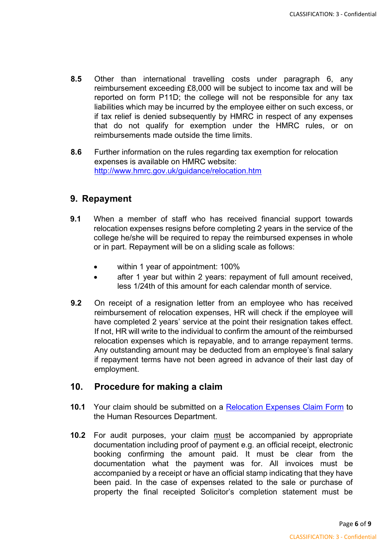- **8.5** Other than international travelling costs under paragraph 6, any reimbursement exceeding £8,000 will be subject to income tax and will be reported on form P11D; the college will not be responsible for any tax liabilities which may be incurred by the employee either on such excess, or if tax relief is denied subsequently by HMRC in respect of any expenses that do not qualify for exemption under the HMRC rules, or on reimbursements made outside the time limits.
- **8.6** Further information on the rules regarding tax exemption for relocation expenses is available on HMRC website: <http://www.hmrc.gov.uk/guidance/relocation.htm>

### **9. Repayment**

- **9.1** When a member of staff who has received financial support towards relocation expenses resigns before completing 2 years in the service of the college he/she will be required to repay the reimbursed expenses in whole or in part. Repayment will be on a sliding scale as follows:
	- within 1 year of appointment: 100%
	- after 1 year but within 2 years: repayment of full amount received, less 1/24th of this amount for each calendar month of service.
- **9.2** On receipt of a resignation letter from an employee who has received reimbursement of relocation expenses, HR will check if the employee will have completed 2 years' service at the point their resignation takes effect. If not, HR will write to the individual to confirm the amount of the reimbursed relocation expenses which is repayable, and to arrange repayment terms. Any outstanding amount may be deducted from an employee's final salary if repayment terms have not been agreed in advance of their last day of employment.

## **10. Procedure for making a claim**

- **10.1** Your claim should be submitted on a [Relocation Expenses Claim Form](http://www.kent.ac.uk/hr-staffinformation/policies/relocation.html) [t](http://www.kent.ac.uk/hr-staffinformation/policies/relocation.html)o the Human Resources Department.
- **10.2** For audit purposes, your claim must be accompanied by appropriate documentation including proof of payment e.g. an official receipt, electronic booking confirming the amount paid. It must be clear from the documentation what the payment was for. All invoices must be accompanied by a receipt or have an official stamp indicating that they have been paid. In the case of expenses related to the sale or purchase of property the final receipted Solicitor's completion statement must be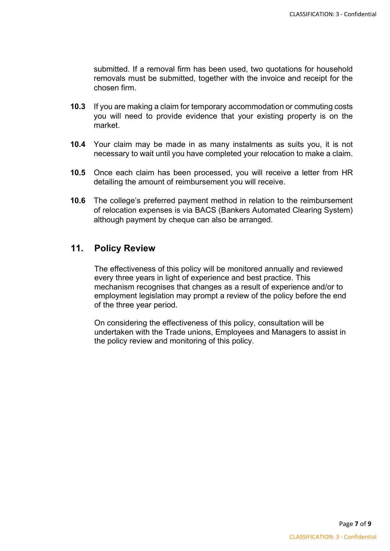submitted. If a removal firm has been used, two quotations for household removals must be submitted, together with the invoice and receipt for the chosen firm.

- **10.3** If you are making a claim for temporary accommodation or commuting costs you will need to provide evidence that your existing property is on the market.
- **10.4** Your claim may be made in as many instalments as suits you, it is not necessary to wait until you have completed your relocation to make a claim.
- **10.5** Once each claim has been processed, you will receive a letter from HR detailing the amount of reimbursement you will receive.
- **10.6** The college's preferred payment method in relation to the reimbursement of relocation expenses is via BACS (Bankers Automated Clearing System) although payment by cheque can also be arranged.

### **11. Policy Review**

The effectiveness of this policy will be monitored annually and reviewed every three years in light of experience and best practice. This mechanism recognises that changes as a result of experience and/or to employment legislation may prompt a review of the policy before the end of the three year period.

On considering the effectiveness of this policy, consultation will be undertaken with the Trade unions, Employees and Managers to assist in the policy review and monitoring of this policy.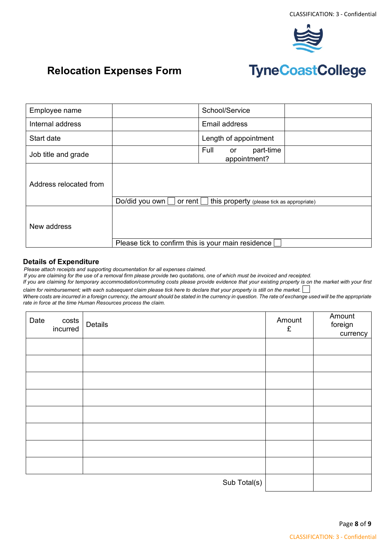

# **Relocation Expenses Form**

# **TyneCoastCollege**

| Employee name          |                                                                         | School/Service                          |  |  |  |
|------------------------|-------------------------------------------------------------------------|-----------------------------------------|--|--|--|
| Internal address       |                                                                         | Email address                           |  |  |  |
| Start date             |                                                                         | Length of appointment                   |  |  |  |
| Job title and grade    |                                                                         | Full<br>part-time<br>or<br>appointment? |  |  |  |
| Address relocated from |                                                                         |                                         |  |  |  |
|                        | Do/did you own<br>or rent<br>this property (please tick as appropriate) |                                         |  |  |  |
| New address            |                                                                         |                                         |  |  |  |
|                        | Please tick to confirm this is your main residence                      |                                         |  |  |  |

#### **Details of Expenditure**

*Please attach receipts and supporting documentation for all expenses claimed.*

*If you are claiming for the use of a removal firm please provide two quotations, one of which must be invoiced and receipted.*

*If you are claiming for temporary accommodation/commuting costs please provide evidence that your existing property is on the market with your first claim for reimbursement; with each subsequent claim please tick here to declare that your property is still on the market.*

*Where costs are incurred in a foreign currency, the amount should be stated in the currency in question. The rate of exchange used will be the appropriate rate in force at the time Human Resources process the claim.*

| costs<br>incurred<br>Date | Details      | Amount<br>£ | Amount<br>foreign<br>currency |
|---------------------------|--------------|-------------|-------------------------------|
|                           |              |             |                               |
|                           |              |             |                               |
|                           |              |             |                               |
|                           |              |             |                               |
|                           |              |             |                               |
|                           |              |             |                               |
|                           |              |             |                               |
|                           |              |             |                               |
|                           | Sub Total(s) |             |                               |